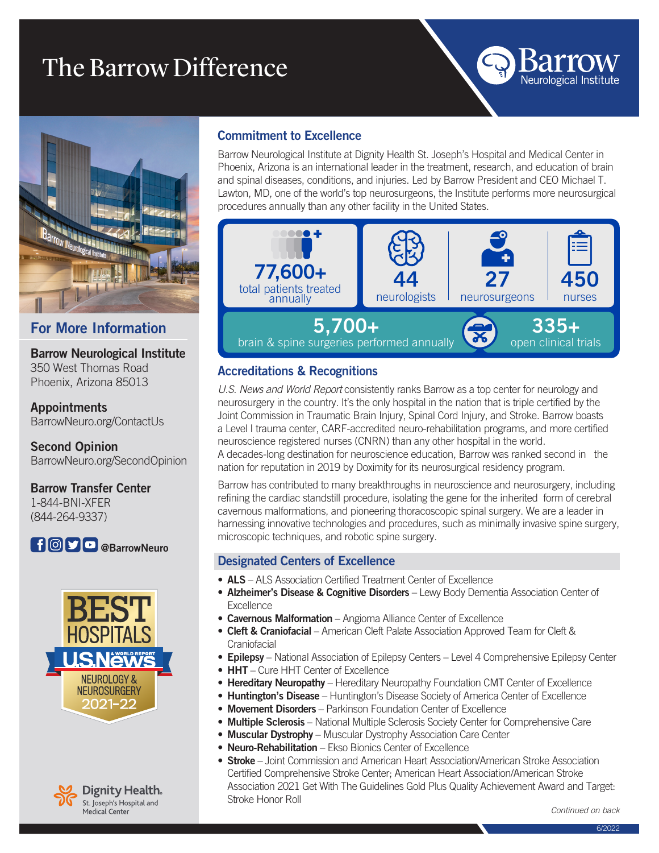# The Barrow Difference



# For More Information

Barrow Neurological Institute 350 West Thomas Road Phoenix, Arizona 85013

Appointments BarrowNeuro.org/ContactUs

Second Opinion BarrowNeuro.org/SecondOpinion

#### Barrow Transfer Center 1-844-BNI-XFER (844-264-9337)







#### Commitment to Excellence

Barrow Neurological Institute at Dignity Health St. Joseph's Hospital and Medical Center in Phoenix, Arizona is an international leader in the treatment, research, and education of brain and spinal diseases, conditions, and injuries. Led by Barrow President and CEO Michael T. Lawton, MD, one of the world's top neurosurgeons, the Institute performs more neurosurgical procedures annually than any other facility in the United States.



### Accreditations & Recognitions

*U.S. News and World Report* consistently ranks Barrow as a top center for neurology and neurosurgery in the country. It's the only hospital in the nation that is triple certified by the Joint Commission in Traumatic Brain Injury, Spinal Cord Injury, and Stroke. Barrow boasts a Level I trauma center, CARF-accredited neuro-rehabilitation programs, and more certified neuroscience registered nurses (CNRN) than any other hospital in the world. A decades-long destination for neuroscience education, Barrow was ranked second in the

nation for reputation in 2019 by Doximity for its neurosurgical residency program.

Barrow has contributed to many breakthroughs in neuroscience and neurosurgery, including refining the cardiac standstill procedure, isolating the gene for the inherited form of cerebral cavernous malformations, and pioneering thoracoscopic spinal surgery. We are a leader in harnessing innovative technologies and procedures, such as minimally invasive spine surgery, microscopic techniques, and robotic spine surgery.

#### Designated Centers of Excellence

- ALS ALS Association Certified Treatment Center of Excellence
- Alzheimer's Disease & Cognitive Disorders Lewy Body Dementia Association Center of **Excellence**
- Cavernous Malformation Angioma Alliance Center of Excellence
- Cleft & Craniofacial American Cleft Palate Association Approved Team for Cleft & **Craniofacial**
- Epilepsy National Association of Epilepsy Centers Level 4 Comprehensive Epilepsy Center
- HHT Cure HHT Center of Excellence
- Hereditary Neuropathy Hereditary Neuropathy Foundation CMT Center of Excellence
- Huntington's Disease Huntington's Disease Society of America Center of Excellence
- Movement Disorders Parkinson Foundation Center of Excellence
- Multiple Sclerosis National Multiple Sclerosis Society Center for Comprehensive Care
- Muscular Dystrophy Muscular Dystrophy Association Care Center
- Neuro-Rehabilitation Ekso Bionics Center of Excellence
- Stroke Joint Commission and American Heart Association/American Stroke Association Certified Comprehensive Stroke Center; American Heart Association/American Stroke Association 2021 Get With The Guidelines Gold Plus Quality Achievement Award and Target: Stroke Honor Roll

*Continued on back*

Neurological Institute